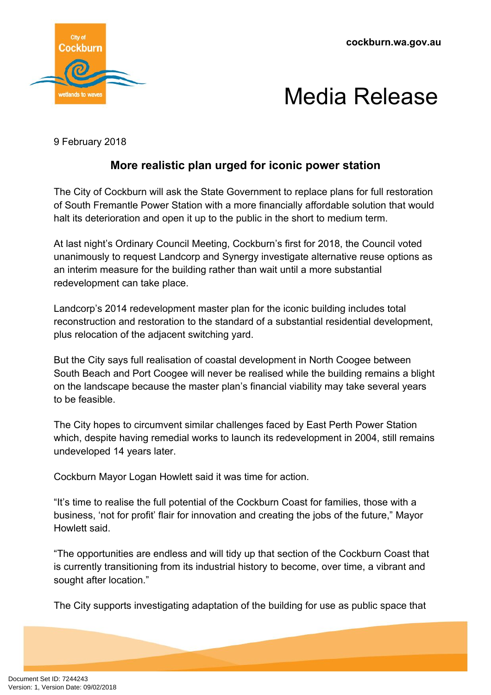**cockburn.wa.gov.au**





9 February 2018

## **More realistic plan urged for iconic power station**

The City of Cockburn will ask the State Government to replace plans for full restoration of South Fremantle Power Station with a more financially affordable solution that would halt its deterioration and open it up to the public in the short to medium term.

At last night's Ordinary Council Meeting, Cockburn's first for 2018, the Council voted unanimously to request Landcorp and Synergy investigate alternative reuse options as an interim measure for the building rather than wait until a more substantial redevelopment can take place.

Landcorp's 2014 redevelopment master plan for the iconic building includes total reconstruction and restoration to the standard of a substantial residential development, plus relocation of the adjacent switching yard.

But the City says full realisation of coastal development in North Coogee between South Beach and Port Coogee will never be realised while the building remains a blight on the landscape because the master plan's financial viability may take several years to be feasible.

The City hopes to circumvent similar challenges faced by East Perth Power Station which, despite having remedial works to launch its redevelopment in 2004, still remains undeveloped 14 years later.

Cockburn Mayor Logan Howlett said it was time for action.

"It's time to realise the full potential of the Cockburn Coast for families, those with a business, 'not for profit' flair for innovation and creating the jobs of the future," Mayor Howlett said.

"The opportunities are endless and will tidy up that section of the Cockburn Coast that is currently transitioning from its industrial history to become, over time, a vibrant and sought after location."

The City supports investigating adaptation of the building for use as public space that